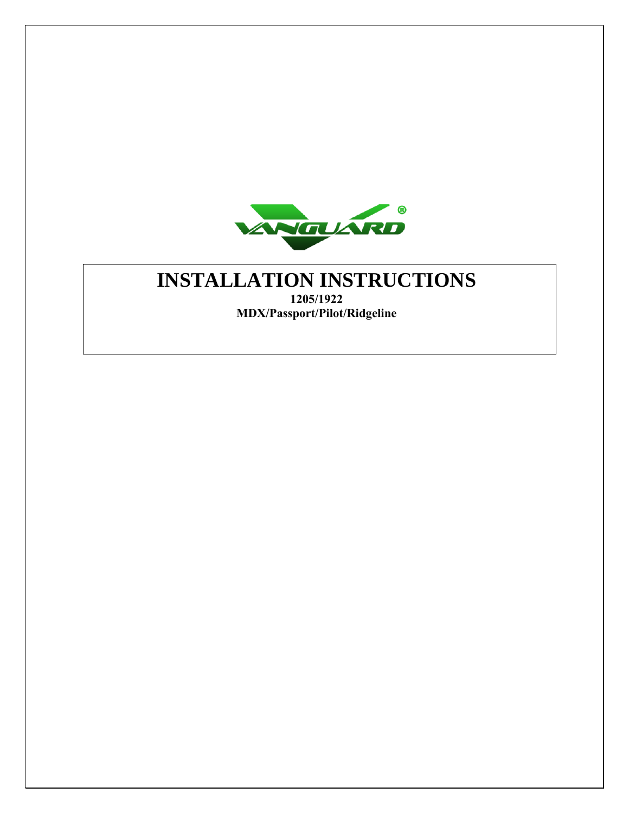

# **INSTALLATION INSTRUCTIONS**

**1205/1922 MDX/Passport/Pilot/Ridgeline**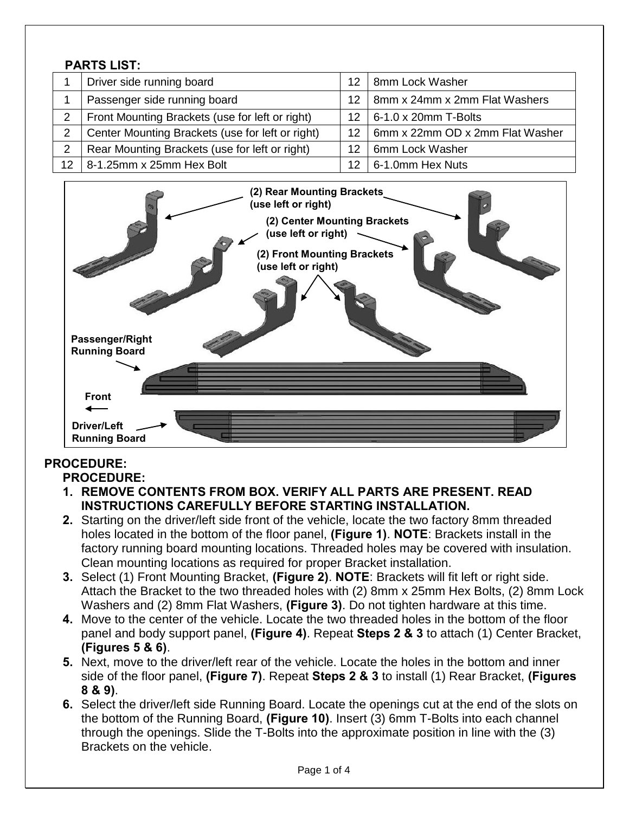#### **PARTS LIST:**

|                | Driver side running board                        | 12              | 8mm Lock Washer                 |
|----------------|--------------------------------------------------|-----------------|---------------------------------|
|                | Passenger side running board                     | 12              | 8mm x 24mm x 2mm Flat Washers   |
| $\overline{2}$ | Front Mounting Brackets (use for left or right)  | 12              | $6-1.0 \times 20$ mm T-Bolts    |
|                | Center Mounting Brackets (use for left or right) | 12 <sub>1</sub> | 6mm x 22mm OD x 2mm Flat Washer |
|                | Rear Mounting Brackets (use for left or right)   | 12              | 6mm Lock Washer                 |
| 12             | 8-1.25mm x 25mm Hex Bolt                         |                 | 6-1.0mm Hex Nuts                |



## **PROCEDURE:**

- **PROCEDURE: 1. REMOVE CONTENTS FROM BOX. VERIFY ALL PARTS ARE PRESENT. READ INSTRUCTIONS CAREFULLY BEFORE STARTING INSTALLATION.**
- **2.** Starting on the driver/left side front of the vehicle, locate the two factory 8mm threaded holes located in the bottom of the floor panel, **(Figure 1)**. **NOTE**: Brackets install in the factory running board mounting locations. Threaded holes may be covered with insulation. Clean mounting locations as required for proper Bracket installation.
- **3.** Select (1) Front Mounting Bracket, **(Figure 2)**. **NOTE**: Brackets will fit left or right side. Attach the Bracket to the two threaded holes with (2) 8mm x 25mm Hex Bolts, (2) 8mm Lock Washers and (2) 8mm Flat Washers, **(Figure 3)**. Do not tighten hardware at this time.
- **4.** Move to the center of the vehicle. Locate the two threaded holes in the bottom of the floor panel and body support panel, **(Figure 4)**. Repeat **Steps 2 & 3** to attach (1) Center Bracket, **(Figures 5 & 6)**.
- **5.** Next, move to the driver/left rear of the vehicle. Locate the holes in the bottom and inner side of the floor panel, **(Figure 7)**. Repeat **Steps 2 & 3** to install (1) Rear Bracket, **(Figures 8 & 9)**.
- **6.** Select the driver/left side Running Board. Locate the openings cut at the end of the slots on the bottom of the Running Board, **(Figure 10)**. Insert (3) 6mm T-Bolts into each channel through the openings. Slide the T-Bolts into the approximate position in line with the (3) Brackets on the vehicle.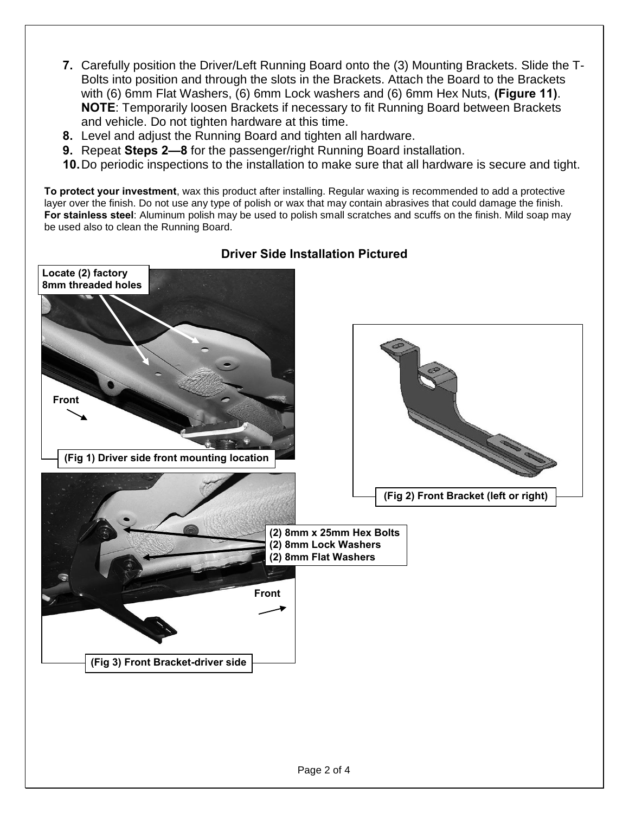- **7.** Carefully position the Driver/Left Running Board onto the (3) Mounting Brackets. Slide the T-Bolts into position and through the slots in the Brackets. Attach the Board to the Brackets with (6) 6mm Flat Washers, (6) 6mm Lock washers and (6) 6mm Hex Nuts, **(Figure 11)**. **NOTE**: Temporarily loosen Brackets if necessary to fit Running Board between Brackets and vehicle. Do not tighten hardware at this time.
- **8.** Level and adjust the Running Board and tighten all hardware.
- **9.** Repeat **Steps 2—8** for the passenger/right Running Board installation.
- **10.**Do periodic inspections to the installation to make sure that all hardware is secure and tight.

**To protect your investment**, wax this product after installing. Regular waxing is recommended to add a protective layer over the finish. Do not use any type of polish or wax that may contain abrasives that could damage the finish. **For stainless steel**: Aluminum polish may be used to polish small scratches and scuffs on the finish. Mild soap may be used also to clean the Running Board.



### **Driver Side Installation Pictured**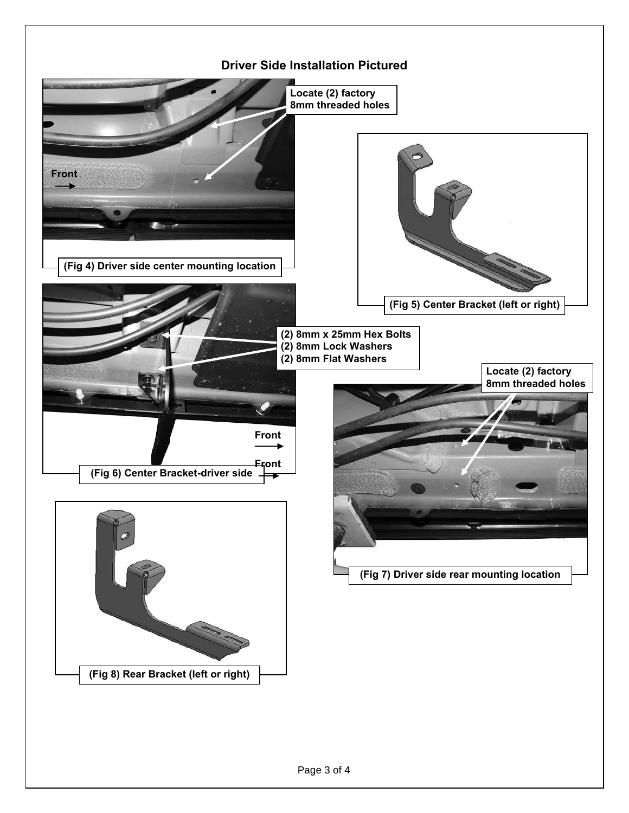